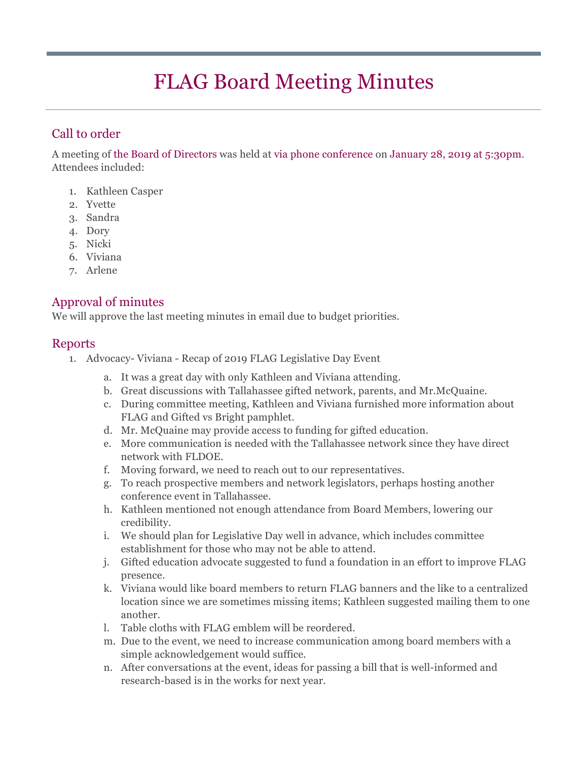# FLAG Board Meeting Minutes

# Call to order

A meeting of the Board of Directors was held at via phone conference on January 28, 2019 at 5:30pm. Attendees included:

- 1. Kathleen Casper
- 2. Yvette
- 3. Sandra
- 4. Dory
- 5. Nicki
- 6. Viviana
- 7. Arlene

## Approval of minutes

We will approve the last meeting minutes in email due to budget priorities.

## Reports

- 1. Advocacy- Viviana Recap of 2019 FLAG Legislative Day Event
	- a. It was a great day with only Kathleen and Viviana attending.
	- b. Great discussions with Tallahassee gifted network, parents, and Mr.McQuaine.
	- c. During committee meeting, Kathleen and Viviana furnished more information about FLAG and Gifted vs Bright pamphlet.
	- d. Mr. McQuaine may provide access to funding for gifted education.
	- e. More communication is needed with the Tallahassee network since they have direct network with FLDOE.
	- f. Moving forward, we need to reach out to our representatives.
	- g. To reach prospective members and network legislators, perhaps hosting another conference event in Tallahassee.
	- h. Kathleen mentioned not enough attendance from Board Members, lowering our credibility.
	- i. We should plan for Legislative Day well in advance, which includes committee establishment for those who may not be able to attend.
	- j. Gifted education advocate suggested to fund a foundation in an effort to improve FLAG presence.
	- k. Viviana would like board members to return FLAG banners and the like to a centralized location since we are sometimes missing items; Kathleen suggested mailing them to one another.
	- l. Table cloths with FLAG emblem will be reordered.
	- m. Due to the event, we need to increase communication among board members with a simple acknowledgement would suffice.
	- n. After conversations at the event, ideas for passing a bill that is well-informed and research-based is in the works for next year.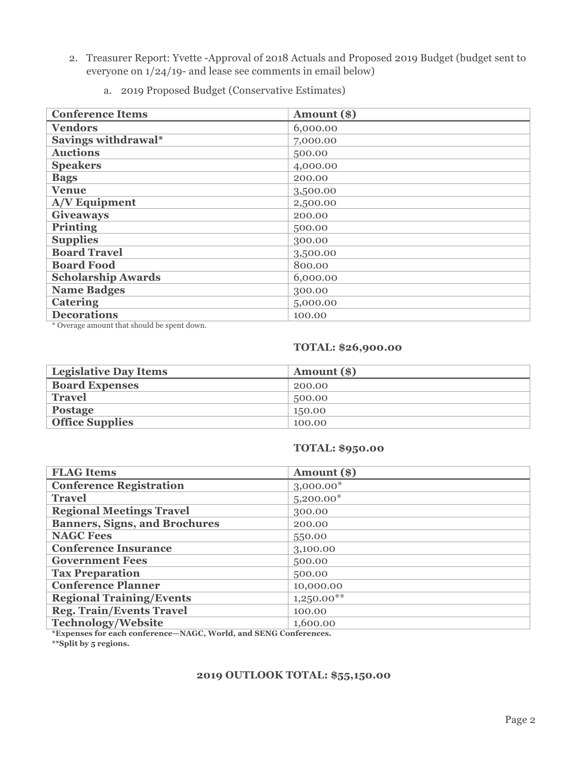- 2. Treasurer Report: Yvette -Approval of 2018 Actuals and Proposed 2019 Budget (budget sent to everyone on 1/24/19- and lease see comments in email below)
	- a. 2019 Proposed Budget (Conservative Estimates)

| <b>Conference Items</b>   | Amount (\$) |
|---------------------------|-------------|
| <b>Vendors</b>            | 6,000.00    |
| Savings withdrawal*       | 7,000.00    |
| <b>Auctions</b>           | 500.00      |
| <b>Speakers</b>           | 4,000.00    |
| <b>Bags</b>               | 200.00      |
| <b>Venue</b>              | 3,500.00    |
| A/V Equipment             | 2,500.00    |
| <b>Giveaways</b>          | 200.00      |
| <b>Printing</b>           | 500.00      |
| <b>Supplies</b>           | 300.00      |
| <b>Board Travel</b>       | 3,500.00    |
| <b>Board Food</b>         | 800.00      |
| <b>Scholarship Awards</b> | 6,000.00    |
| <b>Name Badges</b>        | 300.00      |
| <b>Catering</b>           | 5,000.00    |
| <b>Decorations</b>        | 100.00      |

\* Overage amount that should be spent down.

#### **TOTAL: \$26,900.00**

| <b>Legislative Day Items</b> | Amount (\$) |
|------------------------------|-------------|
| <b>Board Expenses</b>        | 200.00      |
| <b>Travel</b>                | 500.00      |
| Postage                      | 150.00      |
| <b>Office Supplies</b>       | 100.00      |

#### **TOTAL: \$950.00**

| <b>FLAG Items</b>                                                                                                                                                                                                                                                 | Amount (\$)  |
|-------------------------------------------------------------------------------------------------------------------------------------------------------------------------------------------------------------------------------------------------------------------|--------------|
| <b>Conference Registration</b>                                                                                                                                                                                                                                    | $3,000.00*$  |
| <b>Travel</b>                                                                                                                                                                                                                                                     | $5,200.00*$  |
| <b>Regional Meetings Travel</b>                                                                                                                                                                                                                                   | 300.00       |
| <b>Banners, Signs, and Brochures</b>                                                                                                                                                                                                                              | 200.00       |
| <b>NAGC Fees</b>                                                                                                                                                                                                                                                  | 550.00       |
| <b>Conference Insurance</b>                                                                                                                                                                                                                                       | 3,100.00     |
| <b>Government Fees</b>                                                                                                                                                                                                                                            | 500.00       |
| <b>Tax Preparation</b>                                                                                                                                                                                                                                            | 500.00       |
| <b>Conference Planner</b>                                                                                                                                                                                                                                         | 10,000.00    |
| <b>Regional Training/Events</b>                                                                                                                                                                                                                                   | $1,250.00**$ |
| <b>Reg. Train/Events Travel</b>                                                                                                                                                                                                                                   | 100.00       |
| <b>Technology/Website</b><br><b>The Contract Contract Contract Contract Contract Contract Contract Contract Contract Contract Contract Contract Contract Contract Contract Contract Contract Contract Contract Contract Contract Contract Contract Contract C</b> | 1,600.00     |

**\*Expenses for each conference—NAGC, World, and SENG Conferences.**

**\*\*Split by 5 regions.**

#### **2019 OUTLOOK TOTAL: \$55,150.00**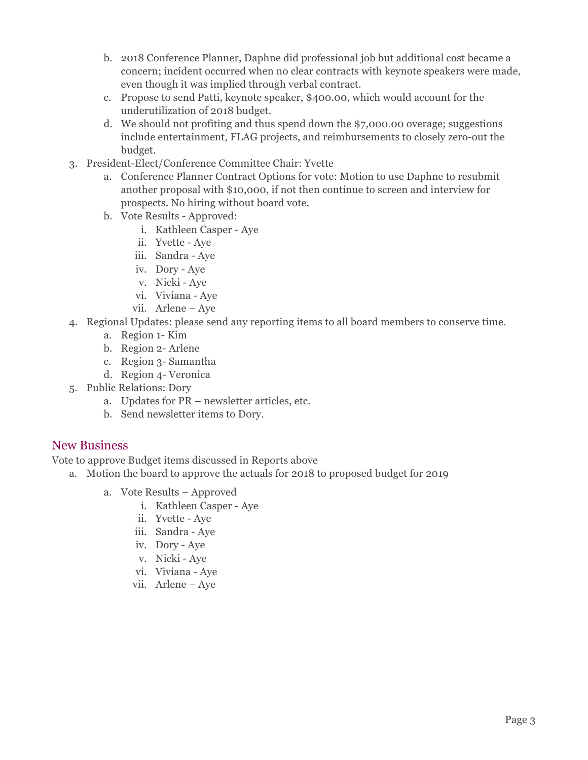- b. 2018 Conference Planner, Daphne did professional job but additional cost became a concern; incident occurred when no clear contracts with keynote speakers were made, even though it was implied through verbal contract.
- c. Propose to send Patti, keynote speaker, \$400.00, which would account for the underutilization of 2018 budget.
- d. We should not profiting and thus spend down the \$7,000.00 overage; suggestions include entertainment, FLAG projects, and reimbursements to closely zero-out the budget.
- 3. President-Elect/Conference Committee Chair: Yvette
	- a. Conference Planner Contract Options for vote: Motion to use Daphne to resubmit another proposal with \$10,000, if not then continue to screen and interview for prospects. No hiring without board vote.
	- b. Vote Results Approved:
		- i. Kathleen Casper Aye
		- ii. Yvette Aye
		- iii. Sandra Aye
		- iv. Dory Aye
		- v. Nicki Aye
		- vi. Viviana Aye
		- vii. Arlene Aye
- 4. Regional Updates: please send any reporting items to all board members to conserve time.
	- a. Region 1- Kim
	- b. Region 2- Arlene
	- c. Region 3- Samantha
	- d. Region 4- Veronica
- 5. Public Relations: Dory
	- a. Updates for PR newsletter articles, etc.
	- b. Send newsletter items to Dory.

### New Business

Vote to approve Budget items discussed in Reports above

- a. Motion the board to approve the actuals for 2018 to proposed budget for 2019
	- a. Vote Results Approved
		- i. Kathleen Casper Aye
		- ii. Yvette Aye
		- iii. Sandra Aye
		- iv. Dory Aye
		- v. Nicki Aye
		- vi. Viviana Aye
		- vii. Arlene Aye